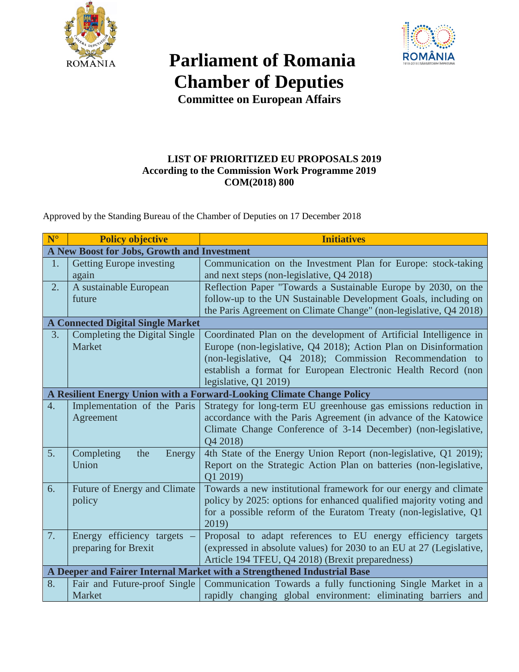

## **Parliament of Romania Chamber of Deputies**



**Committee on European Affairs**

## **LIST OF PRIORITIZED EU PROPOSALS 2019 According to the Commission Work Programme 2019 COM(2018) 800**

Approved by the Standing Bureau of the Chamber of Deputies on 17 December 2018

| $N^{\circ}$                                                             | <b>Policy objective</b>         | <b>Initiatives</b>                                                   |
|-------------------------------------------------------------------------|---------------------------------|----------------------------------------------------------------------|
| A New Boost for Jobs, Growth and Investment                             |                                 |                                                                      |
| 1.                                                                      | <b>Getting Europe investing</b> | Communication on the Investment Plan for Europe: stock-taking        |
|                                                                         | again                           | and next steps (non-legislative, Q4 2018)                            |
| 2.                                                                      | A sustainable European          | Reflection Paper "Towards a Sustainable Europe by 2030, on the       |
|                                                                         | future                          | follow-up to the UN Sustainable Development Goals, including on      |
|                                                                         |                                 | the Paris Agreement on Climate Change" (non-legislative, Q4 2018)    |
| <b>A Connected Digital Single Market</b>                                |                                 |                                                                      |
| 3.                                                                      | Completing the Digital Single   | Coordinated Plan on the development of Artificial Intelligence in    |
|                                                                         | Market                          | Europe (non-legislative, Q4 2018); Action Plan on Disinformation     |
|                                                                         |                                 | (non-legislative, Q4 2018); Commission Recommendation to             |
|                                                                         |                                 | establish a format for European Electronic Health Record (non        |
|                                                                         |                                 | legislative, Q1 2019)                                                |
| A Resilient Energy Union with a Forward-Looking Climate Change Policy   |                                 |                                                                      |
| 4.                                                                      | Implementation of the Paris     | Strategy for long-term EU greenhouse gas emissions reduction in      |
|                                                                         | Agreement                       | accordance with the Paris Agreement (in advance of the Katowice      |
|                                                                         |                                 | Climate Change Conference of 3-14 December) (non-legislative,        |
|                                                                         |                                 | Q4 2018)                                                             |
| 5.                                                                      | Completing<br>the<br>Energy     | 4th State of the Energy Union Report (non-legislative, Q1 2019);     |
|                                                                         | Union                           | Report on the Strategic Action Plan on batteries (non-legislative,   |
|                                                                         |                                 | Q1 2019)                                                             |
| 6.                                                                      | Future of Energy and Climate    | Towards a new institutional framework for our energy and climate     |
|                                                                         | policy                          | policy by 2025: options for enhanced qualified majority voting and   |
|                                                                         |                                 | for a possible reform of the Euratom Treaty (non-legislative, Q1     |
|                                                                         |                                 | 2019)                                                                |
| 7.                                                                      | Energy efficiency targets       | Proposal to adapt references to EU energy efficiency targets         |
|                                                                         | preparing for Brexit            | (expressed in absolute values) for 2030 to an EU at 27 (Legislative, |
|                                                                         |                                 | Article 194 TFEU, Q4 2018) (Brexit preparedness)                     |
| A Deeper and Fairer Internal Market with a Strengthened Industrial Base |                                 |                                                                      |
| 8.                                                                      | Fair and Future-proof Single    | Communication Towards a fully functioning Single Market in a         |
|                                                                         | Market                          | rapidly changing global environment: eliminating barriers and        |